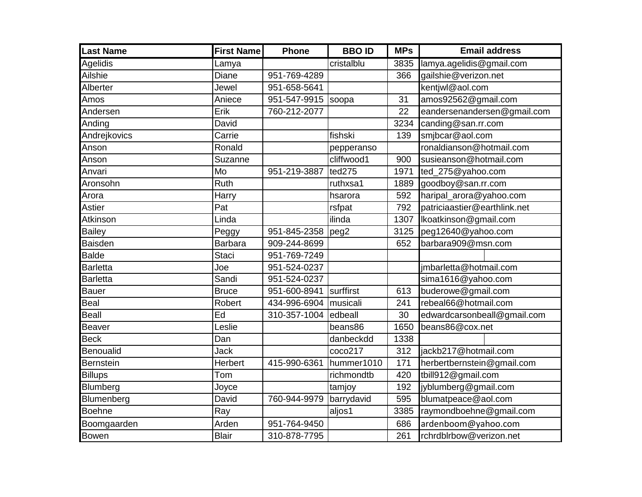| <b>Last Name</b> | <b>First Name</b> | <b>Phone</b> | <b>BBOID</b> | <b>MPs</b> | <b>Email address</b>         |
|------------------|-------------------|--------------|--------------|------------|------------------------------|
| <b>Agelidis</b>  | Lamya             |              | cristalblu   | 3835       | lamya.agelidis@gmail.com     |
| Ailshie          | Diane             | 951-769-4289 |              | 366        | gailshie@verizon.net         |
| Alberter         | Jewel             | 951-658-5641 |              |            | kentjwl@aol.com              |
| Amos             | Aniece            | 951-547-9915 | soopa        | 31         | amos92562@gmail.com          |
| Andersen         | Erik              | 760-212-2077 |              | 22         | eandersenandersen@gmail.com  |
| Anding           | David             |              |              | 3234       | canding@san.rr.com           |
| Andrejkovics     | Carrie            |              | fishski      | 139        | smjbcar@aol.com              |
| Anson            | Ronald            |              | pepperanso   |            | ronaldianson@hotmail.com     |
| Anson            | Suzanne           |              | cliffwood1   | 900        | susieanson@hotmail.com       |
| Anvari           | Mo                | 951-219-3887 | ted275       | 1971       | ted_275@yahoo.com            |
| Aronsohn         | Ruth              |              | ruthxsa1     | 1889       | goodboy@san.rr.com           |
| Arora            | Harry             |              | hsarora      | 592        | haripal_arora@yahoo.com      |
| Astier           | Pat               |              | rsfpat       | 792        | patriciaastier@earthlink.net |
| Atkinson         | Linda             |              | ilinda       | 1307       | Ikoatkinson@gmail.com        |
| <b>Bailey</b>    | Peggy             | 951-845-2358 | peg2         | 3125       | peg12640@yahoo.com           |
| <b>Baisden</b>   | <b>Barbara</b>    | 909-244-8699 |              | 652        | barbara909@msn.com           |
| <b>Balde</b>     | <b>Staci</b>      | 951-769-7249 |              |            |                              |
| <b>Barletta</b>  | Joe               | 951-524-0237 |              |            | jmbarletta@hotmail.com       |
| <b>Barletta</b>  | Sandi             | 951-524-0237 |              |            | sima1616@yahoo.com           |
| <b>Bauer</b>     | <b>Bruce</b>      | 951-600-8941 | surffirst    | 613        | buderowe@gmail.com           |
| Beal             | Robert            | 434-996-6904 | musicali     | 241        | rebeal66@hotmail.com         |
| <b>Beall</b>     | Ed                | 310-357-1004 | edbeall      | 30         | edwardcarsonbeall@gmail.com  |
| <b>Beaver</b>    | Leslie            |              | beans86      | 1650       | beans86@cox.net              |
| <b>Beck</b>      | Dan               |              | danbeckdd    | 1338       |                              |
| Benoualid        | Jack              |              | coco217      | 312        | jackb217@hotmail.com         |
| <b>Bernstein</b> | Herbert           | 415-990-6361 | hummer1010   | 171        | herbertbernstein@gmail.com   |
| <b>Billups</b>   | Tom               |              | richmondtb   | 420        | tbill912@gmail.com           |
| Blumberg         | Joyce             |              | tamjoy       | 192        | jyblumberg@gmail.com         |
| Blumenberg       | David             | 760-944-9979 | barrydavid   | 595        | blumatpeace@aol.com          |
| <b>Boehne</b>    | Ray               |              | aljos1       | 3385       | raymondboehne@gmail.com      |
| Boomgaarden      | Arden             | 951-764-9450 |              | 686        | ardenboom@yahoo.com          |
| <b>Bowen</b>     | <b>Blair</b>      | 310-878-7795 |              | 261        | rchrdblrbow@verizon.net      |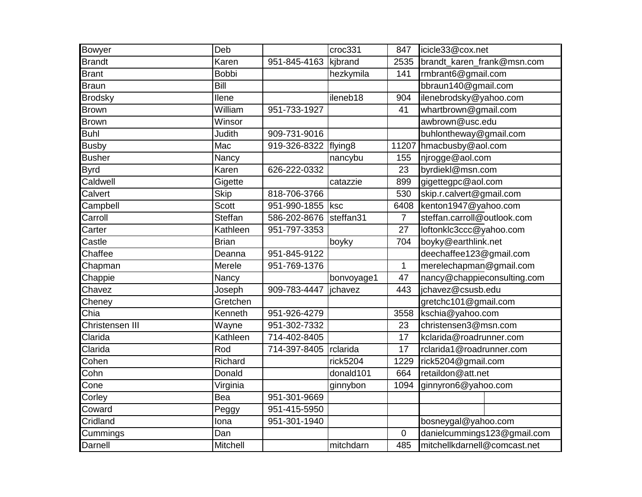| Bowyer          | Deb            |              | croc331             | 847            | icicle33@cox.net             |
|-----------------|----------------|--------------|---------------------|----------------|------------------------------|
| <b>Brandt</b>   | Karen          | 951-845-4163 | kjbrand             | 2535           | brandt_karen_frank@msn.com   |
| <b>Brant</b>    | <b>Bobbi</b>   |              | hezkymila           | 141            | rmbrant6@gmail.com           |
| <b>Braun</b>    | Bill           |              |                     |                | bbraun140@gmail.com          |
| <b>Brodsky</b>  | Ilene          |              | ileneb18            | 904            | ilenebrodsky@yahoo.com       |
| <b>Brown</b>    | William        | 951-733-1927 |                     | 41             | whartbrown@gmail.com         |
| <b>Brown</b>    | Winsor         |              |                     |                | awbrown@usc.edu              |
| <b>Buhl</b>     | Judith         | 909-731-9016 |                     |                | buhlontheway@gmail.com       |
| <b>Busby</b>    | Mac            | 919-326-8322 | flying <sub>8</sub> | 11207          | hmacbusby@aol.com            |
| <b>Busher</b>   | Nancy          |              | nancybu             | 155            | njrogge@aol.com              |
| <b>Byrd</b>     | Karen          | 626-222-0332 |                     | 23             | byrdiekl@msn.com             |
| Caldwell        | Gigette        |              | catazzie            | 899            | gigettegpc@aol.com           |
| Calvert         | <b>Skip</b>    | 818-706-3766 |                     | 530            | skip.r.calvert@gmail.com     |
| Campbell        | Scott          | 951-990-1855 | ksc                 | 6408           | kenton1947@yahoo.com         |
| Carroll         | <b>Steffan</b> | 586-202-8676 | steffan31           | $\overline{7}$ | steffan.carroll@outlook.com  |
| Carter          | Kathleen       | 951-797-3353 |                     | 27             | loftonklc3ccc@yahoo.com      |
| Castle          | <b>Brian</b>   |              | boyky               | 704            | boyky@earthlink.net          |
| Chaffee         | Deanna         | 951-845-9122 |                     |                | deechaffee123@gmail.com      |
| Chapman         | Merele         | 951-769-1376 |                     | $\mathbf{1}$   | merelechapman@gmail.com      |
| Chappie         | Nancy          |              | bonvoyage1          | 47             | nancy@chappieconsulting.com  |
| Chavez          | Joseph         | 909-783-4447 | jchavez             | 443            | jchavez@csusb.edu            |
| Cheney          | Gretchen       |              |                     |                | gretchc101@gmail.com         |
| Chia            | Kenneth        | 951-926-4279 |                     | 3558           | kschia@yahoo.com             |
| Christensen III | Wayne          | 951-302-7332 |                     | 23             | christensen3@msn.com         |
| Clarida         | Kathleen       | 714-402-8405 |                     | 17             | kclarida@roadrunner.com      |
| Clarida         | Rod            | 714-397-8405 | rclarida            | 17             | rclarida1@roadrunner.com     |
| Cohen           | Richard        |              | rick5204            | 1229           | rick5204@gmail.com           |
| Cohn            | Donald         |              | donald101           | 664            | retaildon@att.net            |
| Cone            | Virginia       |              | ginnybon            | 1094           | ginnyron6@yahoo.com          |
| Corley          | Bea            | 951-301-9669 |                     |                |                              |
| Coward          | Peggy          | 951-415-5950 |                     |                |                              |
| Cridland        | Iona           | 951-301-1940 |                     |                | bosneygal@yahoo.com          |
| Cummings        | Dan            |              |                     | 0              | danielcummings123@gmail.com  |
| Darnell         | Mitchell       |              | mitchdarn           | 485            | mitchellkdarnell@comcast.net |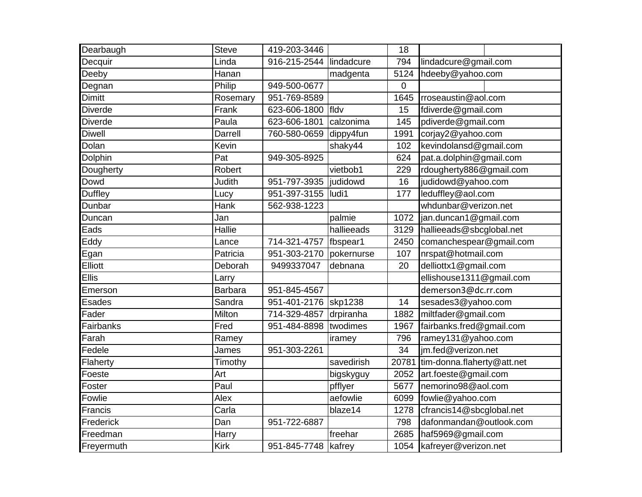| Dearbaugh      | Steve              | 419-203-3446        |              | 18              |                            |
|----------------|--------------------|---------------------|--------------|-----------------|----------------------------|
| Decquir        | Linda              | 916-215-2544        | lindadcure   | 794             | lindadcure@gmail.com       |
| Deeby          | Hanan              |                     | madgenta     | 5124            | hdeeby@yahoo.com           |
| Degnan         | Philip             | 949-500-0677        |              | $\mathbf 0$     |                            |
| <b>Dimitt</b>  | Rosemary           | 951-769-8589        |              | 1645            | rroseaustin@aol.com        |
| <b>Diverde</b> | Frank              | 623-606-1800        | <b>Ifldv</b> | 15              | fdiverde@gmail.com         |
| <b>Diverde</b> | Paula              | 623-606-1801        | calzonima    | 145             | pdiverde@gmail.com         |
| <b>Diwell</b>  | Darrell            | 760-580-0659        | dippy4fun    | 1991            | corjay2@yahoo.com          |
| Dolan          | Kevin              |                     | shaky44      | 102             | kevindolansd@gmail.com     |
| Dolphin        | Pat                | 949-305-8925        |              | 624             | pat.a.dolphin@gmail.com    |
| Dougherty      | Robert             |                     | vietbob1     | 229             | rdougherty886@gmail.com    |
| Dowd           | Judith             | 951-797-3935        | judidowd     | 16              | judidowd@yahoo.com         |
| <b>Duffley</b> | Lucy               | 951-397-3155        | ludi1        | 177             | leduffley@aol.com          |
| Dunbar         | Hank               | 562-938-1223        |              |                 | whdunbar@verizon.net       |
| Duncan         | Jan                |                     | palmie       | 1072            | jan.duncan1@gmail.com      |
| Eads           | Hallie             |                     | hallieeads   | 3129            | hallieeads@sbcglobal.net   |
| Eddy           | Lance              | 714-321-4757        | fbspear1     | 2450            | comanchespear@gmail.com    |
| Egan           | Patricia           | 951-303-2170        | pokernurse   | 107             | nrspat@hotmail.com         |
| Elliott        | Deborah            | 9499337047          | debnana      | 20              | delliottx1@gmail.com       |
| <b>Ellis</b>   | Larry              |                     |              |                 | ellishouse1311@gmail.com   |
| Emerson        | <b>Barbara</b>     | 951-845-4567        |              |                 | demerson3@dc.rr.com        |
| <b>Esades</b>  | Sandra             | 951-401-2176        | skp1238      | $\overline{14}$ | sesades3@yahoo.com         |
| Fader          | Milton             | 714-329-4857        | drpiranha    | 1882            | miltfader@gmail.com        |
| Fairbanks      | Fred               | 951-484-8898        | twodimes     | 1967            | fairbanks.fred@gmail.com   |
| Farah          | Ramey              |                     | iramey       | 796             | ramey131@yahoo.com         |
| Fedele         | James              | 951-303-2261        |              | 34              | im.fed@verizon.net         |
| Flaherty       | Timothy            |                     | savedirish   | 20781           | tim-donna.flaherty@att.net |
| Foeste         | Art                |                     | bigskyguy    | 2052            | art.foeste@gmail.com       |
| Foster         | $\overline{P}$ aul |                     | pfflyer      | 5677            | nemorino98@aol.com         |
| Fowlie         | Alex               |                     | aefowlie     | 6099            | fowlie@yahoo.com           |
| Francis        | Carla              |                     | blaze14      | 1278            | cfrancis14@sbcglobal.net   |
| Frederick      | Dan                | 951-722-6887        |              | 798             | dafonmandan@outlook.com    |
| Freedman       | Harry              |                     | freehar      | 2685            | haf5969@gmail.com          |
| Freyermuth     | <b>Kirk</b>        | 951-845-7748 kafrey |              | 1054            | kafreyer@verizon.net       |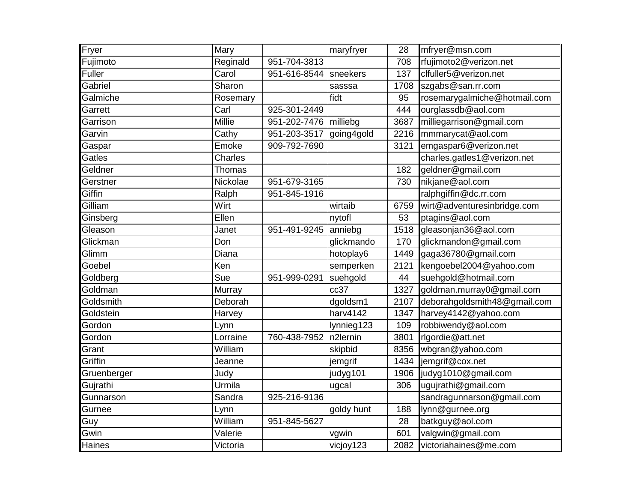| Fryer       | Mary           |              | maryfryer  | 28   | mfryer@msn.com               |
|-------------|----------------|--------------|------------|------|------------------------------|
| Fujimoto    | Reginald       | 951-704-3813 |            | 708  | rfujimoto2@verizon.net       |
| Fuller      | Carol          | 951-616-8544 | sneekers   | 137  | clfuller5@verizon.net        |
| Gabriel     | Sharon         |              | sasssa     | 1708 | szgabs@san.rr.com            |
| Galmiche    | Rosemary       |              | fidt       | 95   | rosemarygalmiche@hotmail.com |
| Garrett     | Carl           | 925-301-2449 |            | 444  | ourglassdb@aol.com           |
| Garrison    | Millie         | 951-202-7476 | milliebg   | 3687 | milliegarrison@gmail.com     |
| Garvin      | Cathy          | 951-203-3517 | going4gold | 2216 | mmmarycat@aol.com            |
| Gaspar      | Emoke          | 909-792-7690 |            | 3121 | emgaspar6@verizon.net        |
| Gatles      | <b>Charles</b> |              |            |      | charles.gatles1@verizon.net  |
| Geldner     | Thomas         |              |            | 182  | geldner@gmail.com            |
| Gerstner    | Nickolae       | 951-679-3165 |            | 730  | nikjane@aol.com              |
| Giffin      | Ralph          | 951-845-1916 |            |      | ralphgiffin@dc.rr.com        |
| Gilliam     | Wirt           |              | wirtaib    | 6759 | wirt@adventuresinbridge.com  |
| Ginsberg    | Ellen          |              | nytofl     | 53   | ptagins@aol.com              |
| Gleason     | Janet          | 951-491-9245 | anniebg    | 1518 | gleasonjan36@aol.com         |
| Glickman    | Don            |              | glickmando | 170  | glickmandon@gmail.com        |
| Glimm       | Diana          |              | hotoplay6  | 1449 | gaga36780@gmail.com          |
| Goebel      | Ken            |              | semperken  | 2121 | kengoebel2004@yahoo.com      |
| Goldberg    | Sue            | 951-999-0291 | suehgold   | 44   | suehgold@hotmail.com         |
| Goldman     | Murray         |              | cc37       | 1327 | goldman.murray0@gmail.com    |
| Goldsmith   | Deborah        |              | dgoldsm1   | 2107 | deborahgoldsmith48@gmail.com |
| Goldstein   | Harvey         |              | harv4142   | 1347 | harvey4142@yahoo.com         |
| Gordon      | Lynn           |              | lynnieg123 | 109  | robbiwendy@aol.com           |
| Gordon      | Lorraine       | 760-438-7952 | n2lernin   | 3801 | rlgordie@att.net             |
| Grant       | William        |              | skipbid    | 8356 | wbgran@yahoo.com             |
| Griffin     | Jeanne         |              | jemgrif    | 1434 | jemgrif@cox.net              |
| Gruenberger | Judy           |              | judyg101   | 1906 | judyg1010@gmail.com          |
| Gujrathi    | Urmila         |              | ugcal      | 306  | ugujrathi@gmail.com          |
| Gunnarson   | Sandra         | 925-216-9136 |            |      | sandragunnarson@gmail.com    |
| Gurnee      | Lynn           |              | goldy hunt | 188  | lynn@gurnee.org              |
| Guy         | William        | 951-845-5627 |            | 28   | batkguy@aol.com              |
| Gwin        | Valerie        |              | vgwin      | 601  | valgwin@gmail.com            |
| Haines      | Victoria       |              | vicjoy123  | 2082 | victoriahaines@me.com        |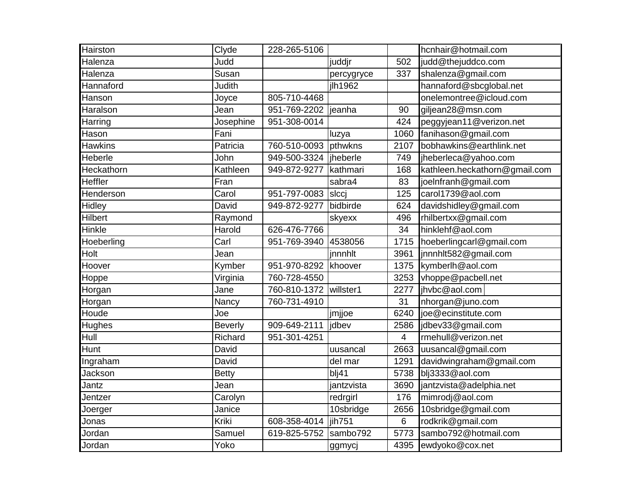| Hairston       | Clyde          | 228-265-5106           |               |      | hcnhair@hotmail.com           |
|----------------|----------------|------------------------|---------------|------|-------------------------------|
| Halenza        | Judd           |                        | juddjr        | 502  | judd@thejuddco.com            |
| Halenza        | Susan          |                        | percygryce    | 337  | shalenza@gmail.com            |
| Hannaford      | Judith         |                        | jlh1962       |      | hannaford@sbcglobal.net       |
| Hanson         | Joyce          | 805-710-4468           |               |      | onelemontree@icloud.com       |
| Haralson       | Jean           | 951-769-2202           | jeanha        | 90   | giljean28@msn.com             |
| Harring        | Josephine      | 951-308-0014           |               | 424  | peggyjean11@verizon.net       |
| Hason          | Fani           |                        | luzya         | 1060 | fanihason@gmail.com           |
| <b>Hawkins</b> | Patricia       | 760-510-0093           | pthwkns       | 2107 | bobhawkins@earthlink.net      |
| Heberle        | John           | 949-500-3324  jheberle |               | 749  | jheberleca@yahoo.com          |
| Heckathorn     | Kathleen       | 949-872-9277           | kathmari      | 168  | kathleen.heckathorn@gmail.com |
| <b>Heffler</b> | Fran           |                        | sabra4        | 83   | joelnfranh@gmail.com          |
| Henderson      | Carol          | 951-797-0083           | <b>s</b> lccj | 125  | carol1739@aol.com             |
| Hidley         | David          | 949-872-9277           | bidbirde      | 624  | davidshidley@gmail.com        |
| Hilbert        | Raymond        |                        | skyexx        | 496  | rhilbertxx@gmail.com          |
| Hinkle         | Harold         | 626-476-7766           |               | 34   | hinklehf@aol.com              |
| Hoeberling     | Carl           | 951-769-3940           | 4538056       | 1715 | hoeberlingcarl@gmail.com      |
| Holt           | Jean           |                        | jnnnhlt       | 3961 | jnnnhlt582@gmail.com          |
| Hoover         | Kymber         | 951-970-8292           | khoover       | 1375 | kymberlh@aol.com              |
| Hoppe          | Virginia       | 760-728-4550           |               | 3253 | vhoppe@pacbell.net            |
| Horgan         | Jane           | 760-810-1372           | willster1     | 2277 | jhvbc@aol.com                 |
| Horgan         | Nancy          | 760-731-4910           |               | 31   | nhorgan@juno.com              |
| Houde          | Joe            |                        | jmjjoe        | 6240 | ioe@ecinstitute.com           |
| Hughes         | <b>Beverly</b> | 909-649-2111           | jdbev         | 2586 | jdbev33@gmail.com             |
| Hull           | Richard        | 951-301-4251           |               | 4    | rmehull@verizon.net           |
| Hunt           | David          |                        | uusancal      | 2663 | uusancal@gmail.com            |
| Ingraham       | David          |                        | del mar       | 1291 | davidwingraham@gmail.com      |
| Jackson        | <b>Betty</b>   |                        | blj41         | 5738 | blj3333@aol.com               |
| Jantz          | Jean           |                        | jantzvista    | 3690 | jantzvista@adelphia.net       |
| Jentzer        | Carolyn        |                        | redrgirl      | 176  | mimrodj@aol.com               |
| Joerger        | Janice         |                        | 10sbridge     | 2656 | 10sbridge@gmail.com           |
| Jonas          | Kriki          | 608-358-4014           | iih751        | 6    | rodkrik@gmail.com             |
| Jordan         | Samuel         | 619-825-5752           | sambo792      | 5773 | sambo792@hotmail.com          |
| Jordan         | Yoko           |                        | ggmycj        | 4395 | ewdyoko@cox.net               |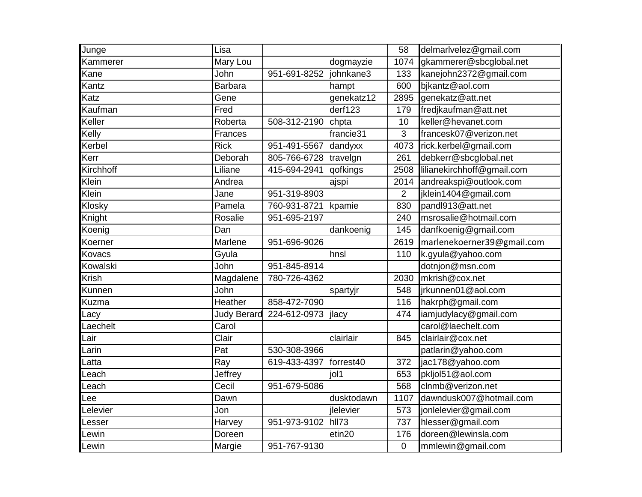| Junge        | Lisa               |              |            | 58             | delmarlvelez@gmail.com     |
|--------------|--------------------|--------------|------------|----------------|----------------------------|
| Kammerer     | Mary Lou           |              | dogmayzie  | 1074           | gkammerer@sbcglobal.net    |
| Kane         | John               | 951-691-8252 | johnkane3  | 133            | kanejohn2372@gmail.com     |
| Kantz        | <b>Barbara</b>     |              | hampt      | 600            | bjkantz@aol.com            |
| Katz         | Gene               |              | genekatz12 | 2895           | genekatz@att.net           |
| Kaufman      | Fred               |              | derf123    | 179            | fredjkaufman@att.net       |
| Keller       | Roberta            | 508-312-2190 | chpta      | 10             | keller@hevanet.com         |
| Kelly        | Frances            |              | francie31  | 3              | francesk07@verizon.net     |
| Kerbel       | <b>Rick</b>        | 951-491-5567 | dandyxx    | 4073           | rick.kerbel@gmail.com      |
| Kerr         | Deborah            | 805-766-6728 | travelgn   | 261            | debkerr@sbcglobal.net      |
| Kirchhoff    | Liliane            | 415-694-2941 | qofkings   | 2508           | lilianekirchhoff@gmail.com |
| Klein        | Andrea             |              | ajspi      | 2014           | andreakspi@outlook.com     |
| Klein        | Jane               | 951-319-8903 |            | $\overline{2}$ | jklein1404@gmail.com       |
| Klosky       | Pamela             | 760-931-8721 | kpamie     | 830            | pandl913@att.net           |
| Knight       | Rosalie            | 951-695-2197 |            | 240            | msrosalie@hotmail.com      |
| Koenig       | Dan                |              | dankoenig  | 145            | danfkoenig@gmail.com       |
| Koerner      | Marlene            | 951-696-9026 |            | 2619           | marlenekoerner39@gmail.com |
| Kovacs       | Gyula              |              | hnsl       | 110            | k.gyula@yahoo.com          |
| Kowalski     | John               | 951-845-8914 |            |                | dotnjon@msn.com            |
| <b>Krish</b> | Magdalene          | 780-726-4362 |            | 2030           | mkrish@cox.net             |
| Kunnen       | John               |              | spartyjr   | 548            | jrkunnen01@aol.com         |
| Kuzma        | Heather            | 858-472-7090 |            | 116            | hakrph@gmail.com           |
| Lacy         | <b>Judy Berard</b> | 224-612-0973 | jlacy      | 474            | iamjudylacy@gmail.com      |
| Laechelt     | Carol              |              |            |                | carol@laechelt.com         |
| Lair         | Clair              |              | clairlair  | 845            | clairlair@cox.net          |
| Larin        | Pat                | 530-308-3966 |            |                | patlarin@yahoo.com         |
| Latta        | Ray                | 619-433-4397 | forrest40  | 372            | jac178@yahoo.com           |
| .each        | Jeffrey            |              | jol1       | 653            | pkljol51@aol.com           |
| .each        | Cecil              | 951-679-5086 |            | 568            | clnmb@verizon.net          |
| Lee          | Dawn               |              | dusktodawn | 1107           | dawndusk007@hotmail.com    |
| elevier.     | Jon                |              | jlelevier  | 573            | jonlelevier@gmail.com      |
| esser.       | Harvey             | 951-973-9102 | hll73      | 737            | hlesser@gmail.com          |
| .ewin        | Doreen             |              | etin20     | 176            | doreen@lewinsla.com        |
| Lewin        | Margie             | 951-767-9130 |            | $\mathbf 0$    | mmlewin@gmail.com          |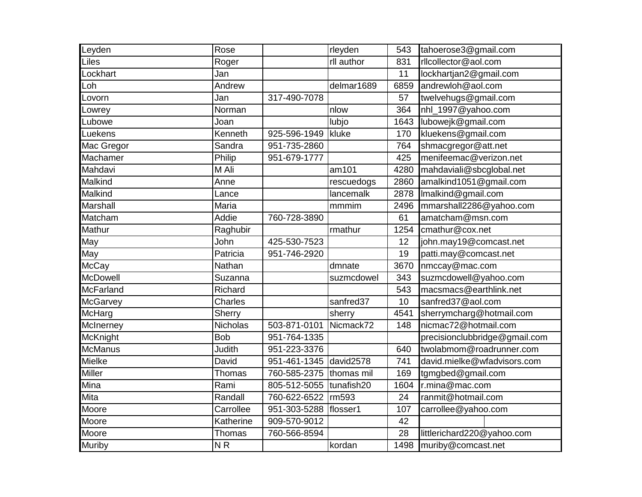| Leyden           | Rose       |              | rleyden    | 543  | tahoerose3@gmail.com          |
|------------------|------------|--------------|------------|------|-------------------------------|
| Liles            | Roger      |              | rll author | 831  | rllcollector@aol.com          |
| Lockhart         | Jan        |              |            | 11   | lockhartjan2@gmail.com        |
| Loh              | Andrew     |              | delmar1689 | 6859 | andrewloh@aol.com             |
| Lovorn           | Jan        | 317-490-7078 |            | 57   | twelvehugs@gmail.com          |
| _owrey           | Norman     |              | nlow       | 364  | nhl_1997@yahoo.com            |
| Lubowe           | Joan       |              | lubjo      | 1643 | lubowejk@gmail.com            |
| Luekens          | Kenneth    | 925-596-1949 | kluke      | 170  | kluekens@gmail.com            |
| Mac Gregor       | Sandra     | 951-735-2860 |            | 764  | shmacgregor@att.net           |
| Machamer         | Philip     | 951-679-1777 |            | 425  | menifeemac@verizon.net        |
| Mahdavi          | M Ali      |              | am101      | 4280 | mahdaviali@sbcglobal.net      |
| Malkind          | Anne       |              | rescuedogs | 2860 | amalkind1051@gmail.com        |
| Malkind          | Lance      |              | lancemalk  | 2878 | Imalkind@gmail.com            |
| <b>Marshall</b>  | Maria      |              | mmmim      | 2496 | mmarshall2286@yahoo.com       |
| Matcham          | Addie      | 760-728-3890 |            | 61   | amatcham@msn.com              |
| Mathur           | Raghubir   |              | rmathur    | 1254 | cmathur@cox.net               |
| May              | John       | 425-530-7523 |            | 12   | john.may19@comcast.net        |
| May              | Patricia   | 951-746-2920 |            | 19   | patti.may@comcast.net         |
| <b>McCay</b>     | Nathan     |              | dmnate     | 3670 | nmccay@mac.com                |
| <b>McDowell</b>  | Suzanna    |              | suzmcdowel | 343  | suzmcdowell@yahoo.com         |
| <b>McFarland</b> | Richard    |              |            | 543  | macsmacs@earthlink.net        |
| <b>McGarvey</b>  | Charles    |              | sanfred37  | 10   | sanfred37@aol.com             |
| McHarg           | Sherry     |              | sherry     | 4541 | sherrymcharg@hotmail.com      |
| McInerney        | Nicholas   | 503-871-0101 | Nicmack72  | 148  | nicmac72@hotmail.com          |
| McKnight         | <b>Bob</b> | 951-764-1335 |            |      | precisionclubbridge@gmail.com |
| <b>McManus</b>   | Judith     | 951-223-3376 |            | 640  | twolabmom@roadrunner.com      |
| Mielke           | David      | 951-461-1345 | david2578  | 741  | david.mielke@wfadvisors.com   |
| <b>Miller</b>    | Thomas     | 760-585-2375 | thomas mil | 169  | tgmgbed@gmail.com             |
| Mina             | Rami       | 805-512-5055 | tunafish20 | 1604 | r.mina@mac.com                |
| Mita             | Randall    | 760-622-6522 | rm593      | 24   | ranmit@hotmail.com            |
| Moore            | Carrollee  | 951-303-5288 | flosser1   | 107  | carrollee@yahoo.com           |
| Moore            | Katherine  | 909-570-9012 |            | 42   |                               |
| Moore            | Thomas     | 760-566-8594 |            | 28   | littlerichard220@yahoo.com    |
| <b>Muriby</b>    | NR         |              | kordan     | 1498 | muriby@comcast.net            |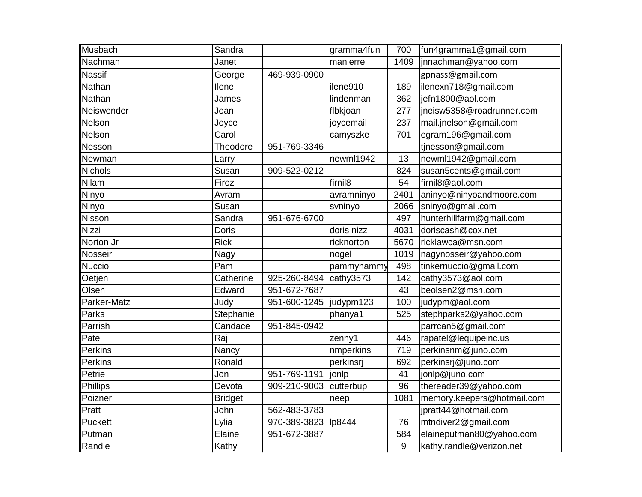| Musbach         | Sandra         |              | gramma4fun          | 700   | fun4gramma1@gmail.com      |
|-----------------|----------------|--------------|---------------------|-------|----------------------------|
| Nachman         | Janet          |              | manierre            | 1409  | jnnachman@yahoo.com        |
| <b>Nassif</b>   | George         | 469-939-0900 |                     |       | gpnass@gmail.com           |
| Nathan          | Ilene          |              | ilene910            | 189   | ilenexn718@gmail.com       |
| Nathan          | James          |              | lindenman           | 362   | jefn1800@aol.com           |
| Neiswender      | Joan           |              | flbkjoan            | 277   | jneisw5358@roadrunner.com  |
| Nelson          | Joyce          |              | joycemail           | 237   | mail.jnelson@gmail.com     |
| Nelson          | Carol          |              | camyszke            | 701   | egram196@gmail.com         |
| Nesson          | Theodore       | 951-769-3346 |                     |       | tinesson@gmail.com         |
| Newman          | Larry          |              | newml1942           | 13    | newml1942@gmail.com        |
| <b>Nichols</b>  | Susan          | 909-522-0212 |                     | 824   | susan5cents@gmail.com      |
| Nilam           | Firoz          |              | firnil <sub>8</sub> | 54    | firnil8@aol.com            |
| Ninyo           | Avram          |              | avramninyo          | 2401  | aninyo@ninyoandmoore.com   |
| Ninyo           | Susan          |              | svninyo             | 2066  | sninyo@gmail.com           |
| Nisson          | Sandra         | 951-676-6700 |                     | 497   | hunterhillfarm@gmail.com   |
| Nizzi           | Doris          |              | doris nizz          | 4031  | doriscash@cox.net          |
| Norton Jr       | <b>Rick</b>    |              | ricknorton          | 5670  | ricklawca@msn.com          |
| Nosseir         | Nagy           |              | nogel               | 1019  | nagynosseir@yahoo.com      |
| Nuccio          | Pam            |              | pammyhammy          | 498   | tinkernuccio@gmail.com     |
| Oetjen          | Catherine      | 925-260-8494 | cathy3573           | 142   | cathy3573@aol.com          |
| Olsen           | Edward         | 951-672-7687 |                     | 43    | beolsen2@msn.com           |
| Parker-Matz     | Judy           | 951-600-1245 | judypm123           | 100   | judypm@aol.com             |
| Parks           | Stephanie      |              | phanya1             | 525   | stephparks2@yahoo.com      |
| Parrish         | Candace        | 951-845-0942 |                     |       | parrcan5@gmail.com         |
| Patel           | Raj            |              | zenny1              | 446   | rapatel@lequipeinc.us      |
| Perkins         | Nancy          |              | nmperkins           | 719   | perkinsnm@juno.com         |
| <b>Perkins</b>  | Ronald         |              | perkinsrj           | 692   | perkinsrj@juno.com         |
| Petrie          | Jon            | 951-769-1191 | jonlp               | 41    | jonlp@juno.com             |
| <b>Phillips</b> | Devota         | 909-210-9003 | cutterbup           | 96    | thereader39@yahoo.com      |
| Poizner         | <b>Bridget</b> |              | neep                | 1081  | memory.keepers@hotmail.com |
| Pratt           | John           | 562-483-3783 |                     |       | jpratt44@hotmail.com       |
| Puckett         | Lylia          | 970-389-3823 | lp8444              | 76    | mtndiver2@gmail.com        |
| Putman          | Elaine         | 951-672-3887 |                     | 584   | elaineputman80@yahoo.com   |
| Randle          | Kathy          |              |                     | $9\,$ | kathy.randle@verizon.net   |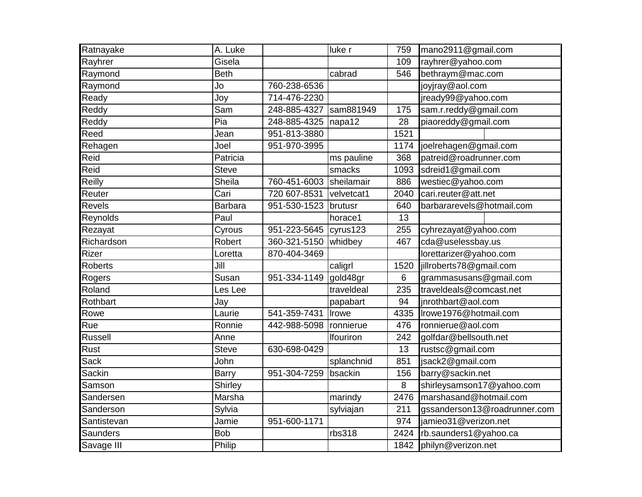| Ratnayake      | A. Luke        |              | luke r            | 759            | mano2911@gmail.com           |
|----------------|----------------|--------------|-------------------|----------------|------------------------------|
| Rayhrer        | Gisela         |              |                   | 109            | rayhrer@yahoo.com            |
| Raymond        | <b>Beth</b>    |              | cabrad            | 546            | bethraym@mac.com             |
| Raymond        | Jo             | 760-238-6536 |                   |                | joyjray@aol.com              |
| Ready          | Joy            | 714-476-2230 |                   |                | jready99@yahoo.com           |
| Reddy          | Sam            | 248-885-4327 | sam881949         | 175            | sam.r.reddy@gmail.com        |
| Reddy          | Pia            | 248-885-4325 | napa12            | 28             | piaoreddy@gmail.com          |
| Reed           | Jean           | 951-813-3880 |                   | 1521           |                              |
| Rehagen        | Joel           | 951-970-3995 |                   | 1174           | joelrehagen@gmail.com        |
| Reid           | Patricia       |              | ms pauline        | 368            | patreid@roadrunner.com       |
| Reid           | <b>Steve</b>   |              | smacks            | 1093           | sdreid1@gmail.com            |
| Reilly         | Sheila         | 760-451-6003 | <b>sheilamair</b> | 886            | westiec@yahoo.com            |
| Reuter         | Cari           | 720 607-8531 | velvetcat1        | 2040           | cari.reuter@att.net          |
| <b>Revels</b>  | <b>Barbara</b> | 951-530-1523 | brutusr           | 640            | barbararevels@hotmail.com    |
| Reynolds       | Paul           |              | horace1           | 13             |                              |
| Rezayat        | Cyrous         | 951-223-5645 | cyrus123          | 255            | cyhrezayat@yahoo.com         |
| Richardson     | Robert         | 360-321-5150 | whidbey           | 467            | cda@uselessbay.us            |
| Rizer          | Loretta        | 870-404-3469 |                   |                | lorettarizer@yahoo.com       |
| <b>Roberts</b> | Jill           |              | caligrl           | 1520           | jillroberts78@gmail.com      |
| Rogers         | Susan          | 951-334-1149 | gold48gr          | $6\phantom{1}$ | grammasusans@gmail.com       |
| Roland         | Les Lee        |              | traveldeal        | 235            | traveldeals@comcast.net      |
| Rothbart       | Jay            |              | papabart          | 94             | jnrothbart@aol.com           |
| Rowe           | Laurie         | 541-359-7431 | Irowe             | 4335           | Irowe1976@hotmail.com        |
| Rue            | Ronnie         | 442-988-5098 | ronnierue         | 476            | ronnierue@aol.com            |
| <b>Russell</b> | Anne           |              | Ifouriron         | 242            | golfdar@bellsouth.net        |
| Rust           | <b>Steve</b>   | 630-698-0429 |                   | 13             | rustsc@gmail.com             |
| Sack           | John           |              | splanchnid        | 851            | jsack2@gmail.com             |
| Sackin         | <b>Barry</b>   | 951-304-7259 | bsackin           | 156            | barry@sackin.net             |
| Samson         | Shirley        |              |                   | 8              | shirleysamson17@yahoo.com    |
| Sandersen      | Marsha         |              | marindy           | 2476           | marshasand@hotmail.com       |
| Sanderson      | Sylvia         |              | sylviajan         | 211            | gssanderson13@roadrunner.com |
| Santistevan    | Jamie          | 951-600-1171 |                   | 974            | jamieo31@verizon.net         |
| Saunders       | <b>Bob</b>     |              | rbs318            | 2424           | rb.saunders1@yahoo.ca        |
| Savage III     | Philip         |              |                   | 1842           | philyn@verizon.net           |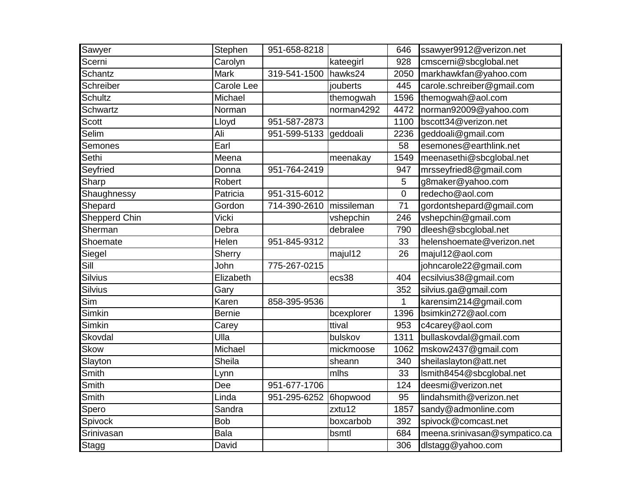| Sawyer                  | Stephen            | 951-658-8218 |            | 646            | ssawyer9912@verizon.net       |
|-------------------------|--------------------|--------------|------------|----------------|-------------------------------|
| Scerni                  | Carolyn            |              | kateegirl  | 928            | cmscerni@sbcglobal.net        |
| <b>Schantz</b>          | Mark               | 319-541-1500 | hawks24    | 2050           | markhawkfan@yahoo.com         |
| Schreiber               | Carole Lee         |              | jouberts   | 445            | carole.schreiber@gmail.com    |
| <b>Schultz</b>          | Michael            |              | themogwah  | 1596           | themogwah@aol.com             |
| <b>Schwartz</b>         | Norman             |              | norman4292 | 4472           | norman92009@yahoo.com         |
| Scott                   | Lloyd              | 951-587-2873 |            | 1100           | bscott34@verizon.net          |
| Selim                   | Ali                | 951-599-5133 | geddoali   | 2236           | geddoali@gmail.com            |
| Semones                 | $\overline{E}$ arl |              |            | 58             | esemones@earthlink.net        |
| Sethi                   | Meena              |              | meenakay   | 1549           | meenasethi@sbcglobal.net      |
| Seyfried                | Donna              | 951-764-2419 |            | 947            | mrsseyfried8@gmail.com        |
| Sharp                   | Robert             |              |            | 5              | g8maker@yahoo.com             |
| Shaughnessy             | Patricia           | 951-315-6012 |            | $\overline{0}$ | redecho@aol.com               |
| Shepard                 | Gordon             | 714-390-2610 | missileman | 71             | gordontshepard@gmail.com      |
| Shepperd Chin           | Vicki              |              | vshepchin  | 246            | vshepchin@gmail.com           |
| Sherman                 | Debra              |              | debralee   | 790            | dleesh@sbcglobal.net          |
| Shoemate                | Helen              | 951-845-9312 |            | 33             | helenshoemate@verizon.net     |
| Siegel                  | Sherry             |              | majul12    | 26             | majul12@aol.com               |
| Sill                    | John               | 775-267-0215 |            |                | johncarole22@gmail.com        |
| <b>Silvius</b>          | Elizabeth          |              | ecs38      | 404            | ecsilvius38@gmail.com         |
| Silvius                 | Gary               |              |            | 352            | silvius.ga@gmail.com          |
| $\overline{\text{Sim}}$ | Karen              | 858-395-9536 |            | 1              | karensim214@gmail.com         |
| Simkin                  | <b>Bernie</b>      |              | bcexplorer | 1396           | bsimkin272@aol.com            |
| Simkin                  | Carey              |              | ttival     | 953            | c4carey@aol.com               |
| Skovdal                 | Ulla               |              | bulskov    | 1311           | bullaskovdal@gmail.com        |
| <b>Skow</b>             | Michael            |              | mickmoose  | 1062           | mskow2437@gmail.com           |
| Slayton                 | Sheila             |              | sheann     | 340            | sheilaslayton@att.net         |
| Smith                   | Lynn               |              | mlhs       | 33             | Ismith8454@sbcglobal.net      |
| Smith                   | Dee                | 951-677-1706 |            | 124            | deesmi@verizon.net            |
| Smith                   | Linda              | 951-295-6252 | 6hopwood   | 95             | lindahsmith@verizon.net       |
| Spero                   | Sandra             |              | zxtu12     | 1857           | sandy@admonline.com           |
| Spivock                 | <b>Bob</b>         |              | boxcarbob  | 392            | spivock@comcast.net           |
| Srinivasan              | Bala               |              | bsmtl      | 684            | meena.srinivasan@sympatico.ca |
| Stagg                   | David              |              |            | 306            | dlstagg@yahoo.com             |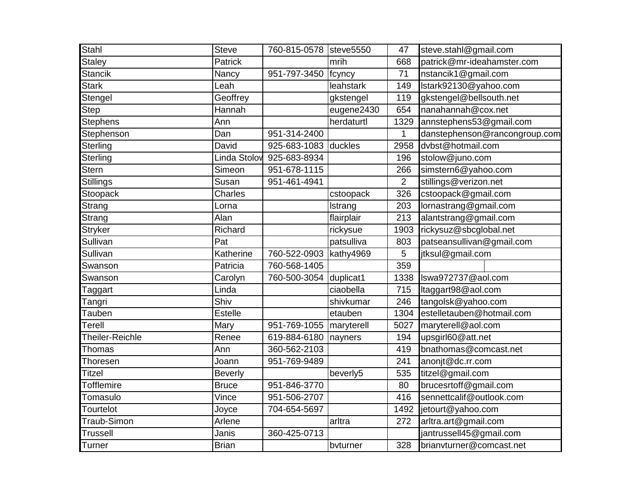| <b>Stahl</b>      | <b>Steve</b>   | 760-815-0578 steve5550 |            | 47             | steve.stahl@gmail.com         |
|-------------------|----------------|------------------------|------------|----------------|-------------------------------|
| <b>Staley</b>     | Patrick        |                        | mrih       | 668            | patrick@mr-ideahamster.com    |
| <b>Stancik</b>    | Nancy          | 951-797-3450           | fcyncy     | 71             | nstancik1@gmail.com           |
| <b>Stark</b>      | Leah           |                        | leahstark  | 149            | lstark92130@yahoo.com         |
| Stengel           | Geoffrey       |                        | gkstengel  | 119            | gkstengel@bellsouth.net       |
| <b>Step</b>       | Hannah         |                        | eugene2430 | 654            | nanahannah@cox.net            |
| <b>Stephens</b>   | Ann            |                        | herdaturtl | 1329           | annstephens53@gmail.com       |
| Stephenson        | Dan            | 951-314-2400           |            | 1              | danstephenson@rancongroup.com |
| Sterling          | David          | 925-683-1083           | duckles    | 2958           | dvbst@hotmail.com             |
| <b>Sterling</b>   | Linda Stolov   | 925-683-8934           |            | 196            | stolow@juno.com               |
| <b>Stern</b>      | Simeon         | 951-678-1115           |            | 266            | simstern6@yahoo.com           |
| Stillings         | Susan          | 951-461-4941           |            | $\overline{2}$ | stillings@verizon.net         |
| Stoopack          | Charles        |                        | cstoopack  | 326            | cstoopack@gmail.com           |
| Strang            | Lorna          |                        | Istrang    | 203            | lornastrang@gmail.com         |
| Strang            | Alan           |                        | flairplair | 213            | alantstrang@gmail.com         |
| <b>Stryker</b>    | Richard        |                        | rickysue   | 1903           | rickysuz@sbcglobal.net        |
| Sullivan          | Pat            |                        | patsulliva | 803            | patseansullivan@gmail.com     |
| Sullivan          | Katherine      | 760-522-0903           | kathy4969  | 5              | jtksul@gmail.com              |
| Swanson           | Patricia       | 760-568-1405           |            | 359            |                               |
| Swanson           | Carolyn        | 760-500-3054           | duplicat1  | 1338           | Iswa972737@aol.com            |
| Taggart           | Linda          |                        | ciaobella  | 715            | Itaggart98@aol.com            |
| Tangri            | Shiv           |                        | shivkumar  | 246            | tangolsk@yahoo.com            |
| Tauben            | <b>Estelle</b> |                        | etauben    | 1304           | estelletauben@hotmail.com     |
| Terell            | Mary           | 951-769-1055           | maryterell | 5027           | maryterell@aol.com            |
| Theiler-Reichle   | Renee          | 619-884-6180           | nayners    | 194            | upsgirl60@att.net             |
| Thomas            | Ann            | 360-562-2103           |            | 419            | bnathomas@comcast.net         |
| Thoresen          | Joann          | 951-769-9489           |            | 241            | anonjt@dc.rr.com              |
| <b>Titzel</b>     | <b>Beverly</b> |                        | beverly5   | 535            | titzel@gmail.com              |
| <b>Tofflemire</b> | <b>Bruce</b>   | 951-846-3770           |            | 80             | brucesrtoff@gmail.com         |
| Tomasulo          | Vince          | 951-506-2707           |            | 416            | sennettcalif@outlook.com      |
| Tourtelot         | Joyce          | 704-654-5697           |            | 1492           | jetourt@yahoo.com             |
| Traub-Simon       | Arlene         |                        | arltra     | 272            | arltra.art@gmail.com          |
| Trussell          | Janis          | 360-425-0713           |            |                | jantrussell45@gmail.com       |
| Turner            | <b>Brian</b>   |                        | bvturner   | 328            | brianvturner@comcast.net      |